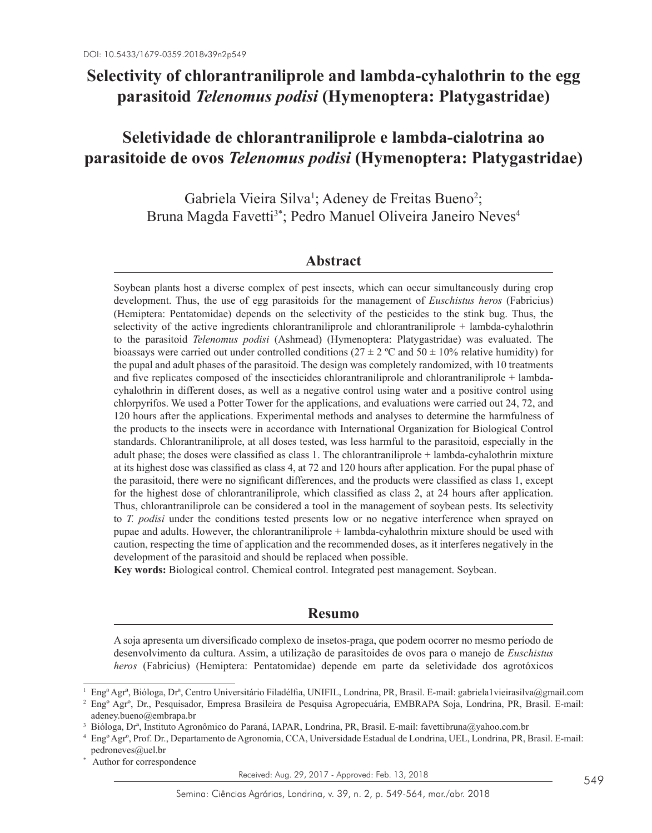# **Selectivity of chlorantraniliprole and lambda-cyhalothrin to the egg parasitoid** *Telenomus podisi* **(Hymenoptera: Platygastridae)**

# **Seletividade de chlorantraniliprole e lambda-cialotrina ao parasitoide de ovos** *Telenomus podisi* **(Hymenoptera: Platygastridae)**

Gabriela Vieira Silva<sup>1</sup>; Adeney de Freitas Bueno<sup>2</sup>; Bruna Magda Favetti<sup>3\*</sup>; Pedro Manuel Oliveira Janeiro Neves<sup>4</sup>

## **Abstract**

Soybean plants host a diverse complex of pest insects, which can occur simultaneously during crop development. Thus, the use of egg parasitoids for the management of *Euschistus heros* (Fabricius) (Hemiptera: Pentatomidae) depends on the selectivity of the pesticides to the stink bug. Thus, the selectivity of the active ingredients chlorantraniliprole and chlorantraniliprole + lambda-cyhalothrin to the parasitoid *Telenomus podisi* (Ashmead) (Hymenoptera: Platygastridae) was evaluated. The bioassays were carried out under controlled conditions ( $27 \pm 2$  °C and  $50 \pm 10\%$  relative humidity) for the pupal and adult phases of the parasitoid. The design was completely randomized, with 10 treatments and five replicates composed of the insecticides chlorantraniliprole and chlorantraniliprole + lambdacyhalothrin in different doses, as well as a negative control using water and a positive control using chlorpyrifos. We used a Potter Tower for the applications, and evaluations were carried out 24, 72, and 120 hours after the applications. Experimental methods and analyses to determine the harmfulness of the products to the insects were in accordance with International Organization for Biological Control standards. Chlorantraniliprole, at all doses tested, was less harmful to the parasitoid, especially in the adult phase; the doses were classified as class 1. The chlorantraniliprole + lambda-cyhalothrin mixture at its highest dose was classified as class 4, at 72 and 120 hours after application. For the pupal phase of the parasitoid, there were no significant differences, and the products were classified as class 1, except for the highest dose of chlorantraniliprole, which classified as class 2, at 24 hours after application. Thus, chlorantraniliprole can be considered a tool in the management of soybean pests. Its selectivity to *T. podisi* under the conditions tested presents low or no negative interference when sprayed on pupae and adults. However, the chlorantraniliprole + lambda-cyhalothrin mixture should be used with caution, respecting the time of application and the recommended doses, as it interferes negatively in the development of the parasitoid and should be replaced when possible.

**Key words:** Biological control. Chemical control. Integrated pest management. Soybean.

### **Resumo**

A soja apresenta um diversificado complexo de insetos-praga, que podem ocorrer no mesmo período de desenvolvimento da cultura. Assim, a utilização de parasitoides de ovos para o manejo de *Euschistus heros* (Fabricius) (Hemiptera: Pentatomidae) depende em parte da seletividade dos agrotóxicos

Received: Aug. 29, 2017 - Approved: Feb. 13, 2018

<sup>1</sup> Engª Agrª, Bióloga, Drª, Centro Universitário Filadélfia, UNIFIL, Londrina, PR, Brasil. E-mail: gabriela1vieirasilva@gmail.com

<sup>2</sup> Engº Agrº, Dr., Pesquisador, Empresa Brasileira de Pesquisa Agropecuária, EMBRAPA Soja, Londrina, PR, Brasil. E-mail: adeney.bueno@embrapa.br

<sup>3</sup> Bióloga, Drª, Instituto Agronômico do Paraná, IAPAR, Londrina, PR, Brasil. E-mail: favettibruna@yahoo.com.br

<sup>4</sup> Engº Agrº, Prof. Dr., Departamento de Agronomia, CCA, Universidade Estadual de Londrina, UEL, Londrina, PR, Brasil. E-mail: pedroneves@uel.br

Author for correspondence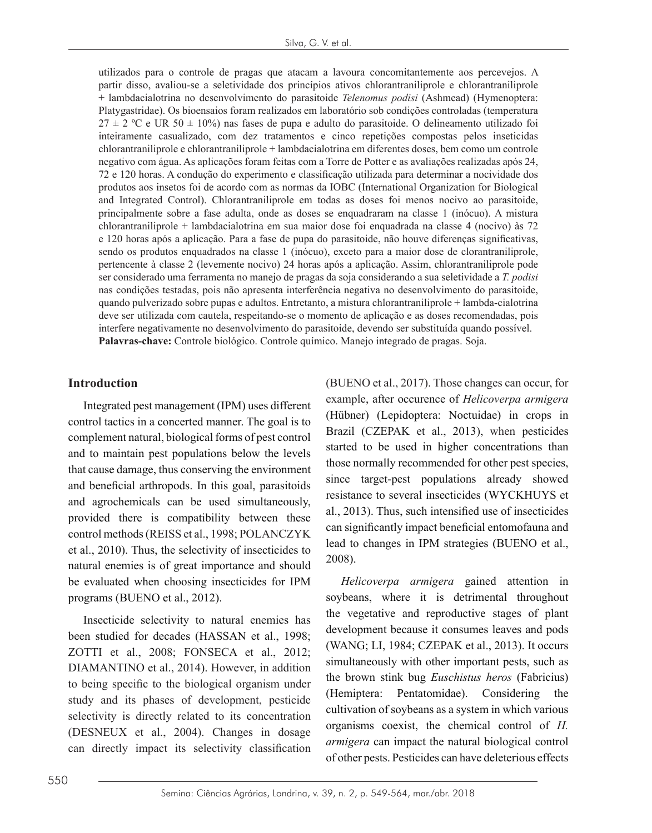utilizados para o controle de pragas que atacam a lavoura concomitantemente aos percevejos. A partir disso, avaliou-se a seletividade dos princípios ativos chlorantraniliprole e chlorantraniliprole + lambdacialotrina no desenvolvimento do parasitoide *Telenomus podisi* (Ashmead) (Hymenoptera: Platygastridae). Os bioensaios foram realizados em laboratório sob condições controladas (temperatura  $27 \pm 2$  °C e UR 50  $\pm$  10%) nas fases de pupa e adulto do parasitoide. O delineamento utilizado foi inteiramente casualizado, com dez tratamentos e cinco repetições compostas pelos inseticidas chlorantraniliprole e chlorantraniliprole + lambdacialotrina em diferentes doses, bem como um controle negativo com água. As aplicações foram feitas com a Torre de Potter e as avaliações realizadas após 24, 72 e 120 horas. A condução do experimento e classificação utilizada para determinar a nocividade dos produtos aos insetos foi de acordo com as normas da IOBC (International Organization for Biological and Integrated Control). Chlorantraniliprole em todas as doses foi menos nocivo ao parasitoide, principalmente sobre a fase adulta, onde as doses se enquadraram na classe 1 (inócuo). A mistura chlorantraniliprole + lambdacialotrina em sua maior dose foi enquadrada na classe 4 (nocivo) às 72 e 120 horas após a aplicação. Para a fase de pupa do parasitoide, não houve diferenças significativas, sendo os produtos enquadrados na classe 1 (inócuo), exceto para a maior dose de clorantraniliprole, pertencente à classe 2 (levemente nocivo) 24 horas após a aplicação. Assim, chlorantraniliprole pode ser considerado uma ferramenta no manejo de pragas da soja considerando a sua seletividade a *T. podisi* nas condições testadas, pois não apresenta interferência negativa no desenvolvimento do parasitoide, quando pulverizado sobre pupas e adultos. Entretanto, a mistura chlorantraniliprole + lambda-cialotrina deve ser utilizada com cautela, respeitando-se o momento de aplicação e as doses recomendadas, pois interfere negativamente no desenvolvimento do parasitoide, devendo ser substituída quando possível. **Palavras-chave:** Controle biológico. Controle químico. Manejo integrado de pragas. Soja.

#### **Introduction**

Integrated pest management (IPM) uses different control tactics in a concerted manner. The goal is to complement natural, biological forms of pest control and to maintain pest populations below the levels that cause damage, thus conserving the environment and beneficial arthropods. In this goal, parasitoids and agrochemicals can be used simultaneously, provided there is compatibility between these control methods (REISS et al., 1998; POLANCZYK et al., 2010). Thus, the selectivity of insecticides to natural enemies is of great importance and should be evaluated when choosing insecticides for IPM programs (BUENO et al., 2012).

Insecticide selectivity to natural enemies has been studied for decades (HASSAN et al., 1998; ZOTTI et al., 2008; FONSECA et al., 2012; DIAMANTINO et al., 2014). However, in addition to being specific to the biological organism under study and its phases of development, pesticide selectivity is directly related to its concentration (DESNEUX et al., 2004). Changes in dosage can directly impact its selectivity classification (BUENO et al., 2017). Those changes can occur, for example, after occurence of *Helicoverpa armigera* (Hübner) (Lepidoptera: Noctuidae) in crops in Brazil (CZEPAK et al., 2013), when pesticides started to be used in higher concentrations than those normally recommended for other pest species, since target-pest populations already showed resistance to several insecticides (WYCKHUYS et al., 2013). Thus, such intensified use of insecticides can significantly impact beneficial entomofauna and lead to changes in IPM strategies (BUENO et al., 2008).

*Helicoverpa armigera* gained attention in soybeans, where it is detrimental throughout the vegetative and reproductive stages of plant development because it consumes leaves and pods (WANG; LI, 1984; CZEPAK et al., 2013). It occurs simultaneously with other important pests, such as the brown stink bug *Euschistus heros* (Fabricius) (Hemiptera: Pentatomidae). Considering the cultivation of soybeans as a system in which various organisms coexist, the chemical control of *H. armigera* can impact the natural biological control of other pests. Pesticides can have deleterious effects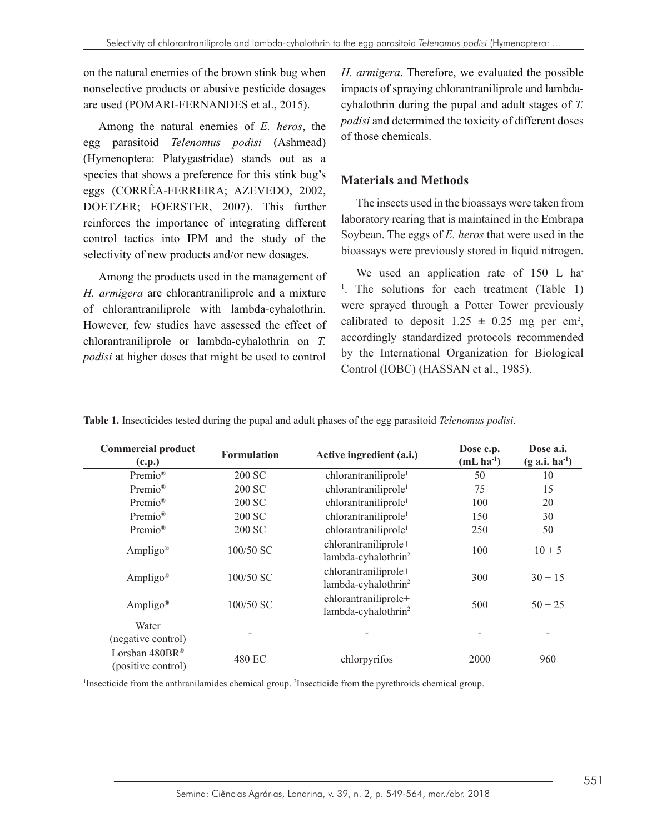on the natural enemies of the brown stink bug when nonselective products or abusive pesticide dosages are used (POMARI-FERNANDES et al., 2015).

Among the natural enemies of *E. heros*, the egg parasitoid *Telenomus podisi* (Ashmead) (Hymenoptera: Platygastridae) stands out as a species that shows a preference for this stink bug's eggs (CORRÊA-FERREIRA; AZEVEDO, 2002, DOETZER; FOERSTER, 2007). This further reinforces the importance of integrating different control tactics into IPM and the study of the selectivity of new products and/or new dosages.

Among the products used in the management of *H. armigera* are chlorantraniliprole and a mixture of chlorantraniliprole with lambda-cyhalothrin. However, few studies have assessed the effect of chlorantraniliprole or lambda-cyhalothrin on *T. podisi* at higher doses that might be used to control

*H. armigera*. Therefore, we evaluated the possible impacts of spraying chlorantraniliprole and lambdacyhalothrin during the pupal and adult stages of *T. podisi* and determined the toxicity of different doses of those chemicals.

# **Materials and Methods**

The insects used in the bioassays were taken from laboratory rearing that is maintained in the Embrapa Soybean. The eggs of *E. heros* that were used in the bioassays were previously stored in liquid nitrogen.

We used an application rate of 150 L ha-<sup>1</sup>. The solutions for each treatment (Table 1) were sprayed through a Potter Tower previously calibrated to deposit  $1.25 \pm 0.25$  mg per cm<sup>2</sup>, accordingly standardized protocols recommended by the International Organization for Biological Control (IOBC) (HASSAN et al., 1985).

**Table 1.** Insecticides tested during the pupal and adult phases of the egg parasitoid *Telenomus podisi*.

| <b>Commercial product</b><br>(c.p.)  | <b>Formulation</b> | Active ingredient (a.i.)                                | Dose c.p.<br>$(mL \, ha^{-1})$ | Dose a.i.<br>$(g \, a.i. \, ha^{-1})$ |
|--------------------------------------|--------------------|---------------------------------------------------------|--------------------------------|---------------------------------------|
| Premio®                              | 200 SC             | chlorantraniliprole <sup>1</sup>                        | 50                             | 10                                    |
| Premio®                              | 200 SC             | chlorantraniliprole <sup>1</sup>                        | 75                             | 15                                    |
| Premio®                              | 200 SC             | chlorantraniliprole <sup>1</sup>                        | 100                            | 20                                    |
| Premio®                              | 200 SC             | chlorantraniliprole <sup>1</sup>                        | 150                            | 30                                    |
| Premio®                              | 200 SC             | chlorantraniliprole <sup>1</sup>                        | 250                            | 50                                    |
| Ampligo <sup>®</sup>                 | 100/50 SC          | chlorantraniliprole+<br>lambda-cyhalothrin <sup>2</sup> | 100                            | $10 + 5$                              |
| Ampligo <sup>®</sup>                 | 100/50 SC          | chlorantraniliprole+<br>lambda-cyhalothrin <sup>2</sup> | 300                            | $30 + 15$                             |
| Ampligo <sup>®</sup>                 | 100/50 SC          | chlorantraniliprole+<br>lambda-cyhalothrin <sup>2</sup> | 500                            | $50 + 25$                             |
| Water<br>(negative control)          |                    |                                                         |                                |                                       |
| Lorsban 480BR®<br>(positive control) | 480 EC             | chlorpyrifos                                            | 2000                           | 960                                   |

<sup>1</sup>Insecticide from the anthranilamides chemical group. <sup>2</sup>Insecticide from the pyrethroids chemical group.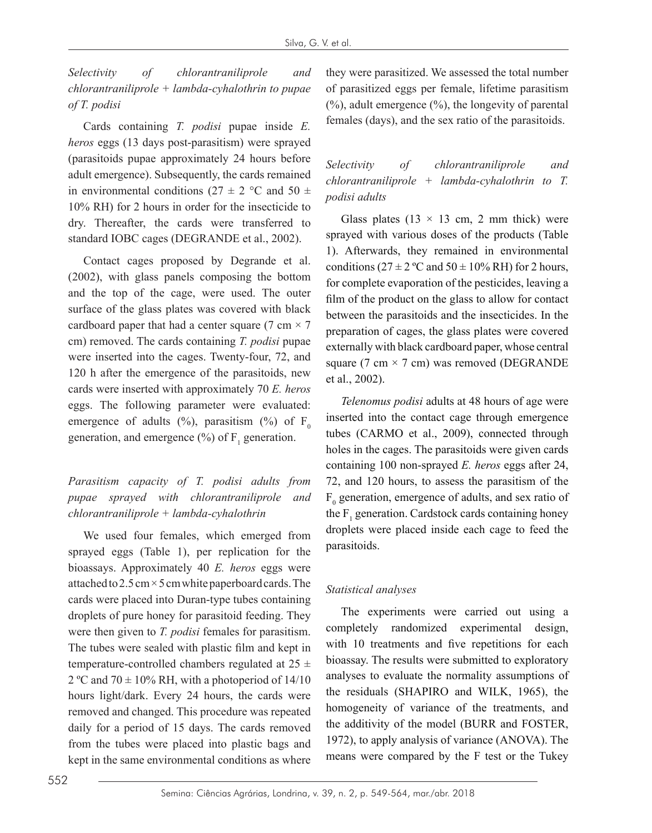*Selectivity of chlorantraniliprole and chlorantraniliprole + lambda-cyhalothrin to pupae of T. podisi*

Cards containing *T. podisi* pupae inside *E. heros* eggs (13 days post-parasitism) were sprayed (parasitoids pupae approximately 24 hours before adult emergence). Subsequently, the cards remained in environmental conditions (27  $\pm$  2 °C and 50  $\pm$ 10% RH) for 2 hours in order for the insecticide to dry. Thereafter, the cards were transferred to standard IOBC cages (DEGRANDE et al., 2002).

Contact cages proposed by Degrande et al. (2002), with glass panels composing the bottom and the top of the cage, were used. The outer surface of the glass plates was covered with black cardboard paper that had a center square (7 cm  $\times$  7 cm) removed. The cards containing *T. podisi* pupae were inserted into the cages. Twenty-four, 72, and 120 h after the emergence of the parasitoids, new cards were inserted with approximately 70 *E. heros* eggs. The following parameter were evaluated: emergence of adults (%), parasitism (%) of  $F_0$ generation, and emergence  $(\%)$  of  $F_1$  generation.

*Parasitism capacity of T. podisi adults from pupae sprayed with chlorantraniliprole and chlorantraniliprole + lambda-cyhalothrin*

We used four females, which emerged from sprayed eggs (Table 1), per replication for the bioassays. Approximately 40 *E. heros* eggs were attached to  $2.5 \text{ cm} \times 5 \text{ cm}$  white paperboard cards. The cards were placed into Duran-type tubes containing droplets of pure honey for parasitoid feeding. They were then given to *T. podisi* females for parasitism. The tubes were sealed with plastic film and kept in temperature-controlled chambers regulated at  $25 \pm$ 2 °C and 70  $\pm$  10% RH, with a photoperiod of 14/10 hours light/dark. Every 24 hours, the cards were removed and changed. This procedure was repeated daily for a period of 15 days. The cards removed from the tubes were placed into plastic bags and kept in the same environmental conditions as where

they were parasitized. We assessed the total number of parasitized eggs per female, lifetime parasitism  $(%)$ , adult emergence  $(%)$ , the longevity of parental females (days), and the sex ratio of the parasitoids.

*Selectivity of chlorantraniliprole and chlorantraniliprole + lambda-cyhalothrin to T. podisi adults*

Glass plates (13  $\times$  13 cm, 2 mm thick) were sprayed with various doses of the products (Table 1). Afterwards, they remained in environmental conditions ( $27 \pm 2$  °C and  $50 \pm 10\%$  RH) for 2 hours, for complete evaporation of the pesticides, leaving a film of the product on the glass to allow for contact between the parasitoids and the insecticides. In the preparation of cages, the glass plates were covered externally with black cardboard paper, whose central square (7 cm  $\times$  7 cm) was removed (DEGRANDE et al., 2002).

*Telenomus podisi* adults at 48 hours of age were inserted into the contact cage through emergence tubes (CARMO et al., 2009), connected through holes in the cages. The parasitoids were given cards containing 100 non-sprayed *E. heros* eggs after 24, 72, and 120 hours, to assess the parasitism of the  $F_0$  generation, emergence of adults, and sex ratio of the  $F_1$  generation. Cardstock cards containing honey droplets were placed inside each cage to feed the parasitoids.

## *Statistical analyses*

The experiments were carried out using a completely randomized experimental design, with 10 treatments and five repetitions for each bioassay. The results were submitted to exploratory analyses to evaluate the normality assumptions of the residuals (SHAPIRO and WILK, 1965), the homogeneity of variance of the treatments, and the additivity of the model (BURR and FOSTER, 1972), to apply analysis of variance (ANOVA). The means were compared by the F test or the Tukey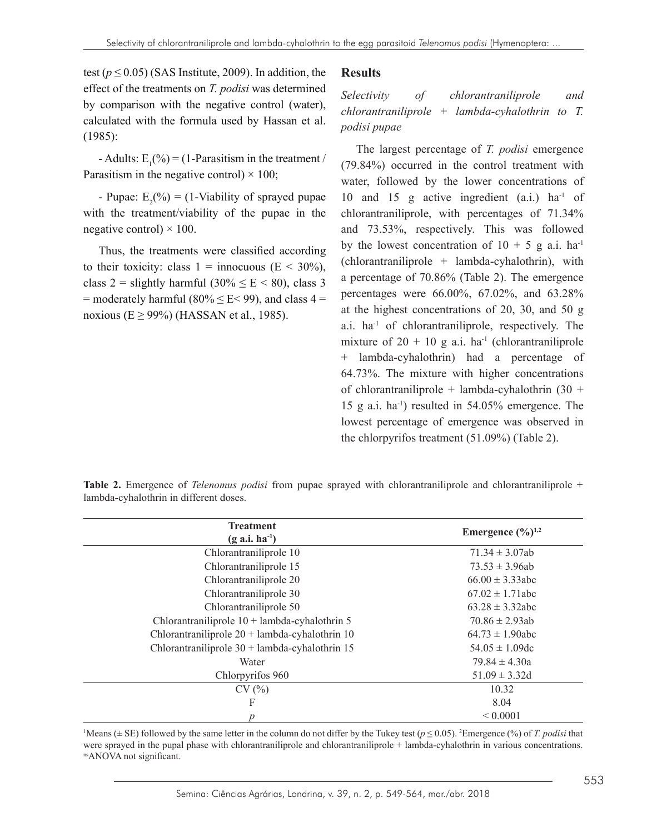# test  $(p \le 0.05)$  (SAS Institute, 2009). In addition, the effect of the treatments on *T. podisi* was determined by comparison with the negative control (water), calculated with the formula used by Hassan et al. (1985):

- Adults:  $E_1(\%)=(1)$ -Parasitism in the treatment / Parasitism in the negative control)  $\times$  100;

- Pupae:  $E_2(\%) = (1-\text{Viability of sprayed pupae})$ with the treatment/viability of the pupae in the negative control)  $\times$  100.

Thus, the treatments were classified according to their toxicity: class  $1 = \text{innocuous } (E \leq 30\%)$ , class 2 = slightly harmful  $(30\% \leq E \leq 80)$ , class 3  $=$  moderately harmful (80%  $\leq$  E $\leq$  99), and class 4  $=$ noxious ( $E \ge 99\%$ ) (HASSAN et al., 1985).

#### **Results**

*Selectivity of chlorantraniliprole and chlorantraniliprole + lambda-cyhalothrin to T. podisi pupae*

The largest percentage of *T. podisi* emergence (79.84%) occurred in the control treatment with water, followed by the lower concentrations of 10 and 15 g active ingredient  $(a.i.)$  ha<sup>-1</sup> of chlorantraniliprole, with percentages of 71.34% and 73.53%, respectively. This was followed by the lowest concentration of  $10 + 5$  g a.i. ha<sup>-1</sup> (chlorantraniliprole + lambda-cyhalothrin), with a percentage of 70.86% (Table 2). The emergence percentages were 66.00%, 67.02%, and 63.28% at the highest concentrations of 20, 30, and 50 g a.i. ha-1 of chlorantraniliprole, respectively. The mixture of  $20 + 10$  g a.i. ha<sup>-1</sup> (chlorantraniliprole + lambda-cyhalothrin) had a percentage of 64.73%. The mixture with higher concentrations of chlorantraniliprole + lambda-cyhalothrin  $(30 +$ 15 g a.i. ha-1) resulted in 54.05% emergence. The lowest percentage of emergence was observed in the chlorpyrifos treatment (51.09%) (Table 2).

| <b>Treatment</b>                                 | Emergence $(\frac{0}{0})^{1,2}$ |
|--------------------------------------------------|---------------------------------|
| $(g \text{ a.i.} \text{ ha}^{-1})$               |                                 |
| Chlorantraniliprole 10                           | $71.34 \pm 3.07ab$              |
| Chlorantraniliprole 15                           | $73.53 \pm 3.96ab$              |
| Chlorantraniliprole 20                           | $66.00 \pm 3.33$ abc            |
| Chlorantraniliprole 30                           | $67.02 \pm 1.71$ abc            |
| Chlorantraniliprole 50                           | $63.28 \pm 3.32$ abc            |
| Chlorantraniliprole $10 +$ lambda-cyhalothrin 5  | $70.86 \pm 2.93ab$              |
| Chlorantraniliprole $20 +$ lambda-cyhalothrin 10 | $64.73 \pm 1.90$ abc            |
| Chlorantraniliprole $30 +$ lambda-cyhalothrin 15 | $54.05 \pm 1.09$ dc             |
| Water                                            | $79.84 \pm 4.30a$               |
| Chlorpyrifos 960                                 | $51.09 \pm 3.32d$               |
| CV(%)                                            | 10.32                           |
| F                                                | 8.04                            |

**Table 2.** Emergence of *Telenomus podisi* from pupae sprayed with chlorantraniliprole and chlorantraniliprole + lambda-cyhalothrin in different doses.

<sup>1</sup>Means ( $\pm$  SE) followed by the same letter in the column do not differ by the Tukey test ( $p \le 0.05$ ). <sup>2</sup>Emergence (%) of *T. podisi* that were sprayed in the pupal phase with chlorantraniliprole and chlorantraniliprole + lambda-cyhalothrin in various concentrations. nsANOVA not significant.

*p* < 0.0001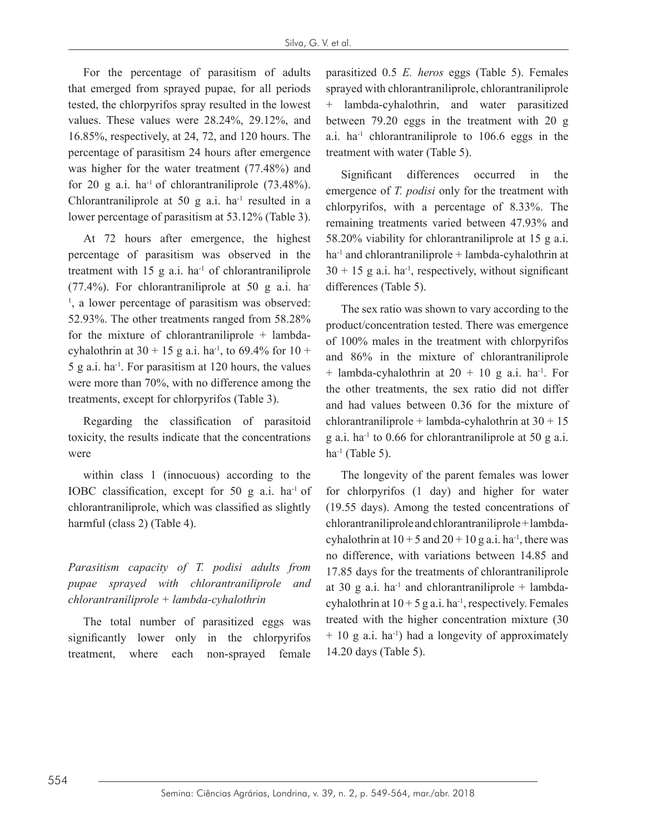For the percentage of parasitism of adults that emerged from sprayed pupae, for all periods tested, the chlorpyrifos spray resulted in the lowest values. These values were 28.24%, 29.12%, and 16.85%, respectively, at 24, 72, and 120 hours. The percentage of parasitism 24 hours after emergence was higher for the water treatment (77.48%) and for 20 g a.i. ha<sup>-1</sup> of chlorantraniliprole  $(73.48\%)$ . Chlorantraniliprole at 50  $g$  a.i. ha<sup>-1</sup> resulted in a lower percentage of parasitism at 53.12% (Table 3).

At 72 hours after emergence, the highest percentage of parasitism was observed in the treatment with  $15$  g a.i. ha<sup>-1</sup> of chlorantraniliprole  $(77.4\%)$ . For chlorantraniliprole at 50 g a.i. ha-<sup>1</sup>, a lower percentage of parasitism was observed: 52.93%. The other treatments ranged from 58.28% for the mixture of chlorantraniliprole + lambdacyhalothrin at  $30 + 15$  g a.i. ha<sup>-1</sup>, to 69.4% for  $10 +$  $5$  g a.i. ha<sup>-1</sup>. For parasitism at 120 hours, the values were more than 70%, with no difference among the treatments, except for chlorpyrifos (Table 3).

Regarding the classification of parasitoid toxicity, the results indicate that the concentrations were

within class 1 (innocuous) according to the IOBC classification, except for 50 g a.i. ha-1 of chlorantraniliprole, which was classified as slightly harmful (class 2) (Table 4).

*Parasitism capacity of T. podisi adults from pupae sprayed with chlorantraniliprole and chlorantraniliprole + lambda-cyhalothrin*

The total number of parasitized eggs was significantly lower only in the chlorpyrifos treatment, where each non-sprayed female parasitized 0.5 *E. heros* eggs (Table 5). Females sprayed with chlorantraniliprole, chlorantraniliprole + lambda-cyhalothrin, and water parasitized between 79.20 eggs in the treatment with 20 g a.i.  $ha^{-1}$  chlorantraniliprole to 106.6 eggs in the treatment with water (Table 5).

Significant differences occurred in the emergence of *T. podisi* only for the treatment with chlorpyrifos, with a percentage of 8.33%. The remaining treatments varied between 47.93% and 58.20% viability for chlorantraniliprole at 15 g a.i.  $ha<sup>-1</sup>$  and chlorantraniliprole + lambda-cyhalothrin at  $30 + 15$  g a.i. ha<sup>-1</sup>, respectively, without significant differences (Table 5).

The sex ratio was shown to vary according to the product/concentration tested. There was emergence of 100% males in the treatment with chlorpyrifos and 86% in the mixture of chlorantraniliprole + lambda-cyhalothrin at  $20 + 10$  g a.i. ha<sup>-1</sup>. For the other treatments, the sex ratio did not differ and had values between 0.36 for the mixture of chlorantraniliprole + lambda-cyhalothrin at  $30 + 15$ g a.i. ha<sup>-1</sup> to 0.66 for chlorantraniliprole at 50 g a.i.  $ha^{-1}$  (Table 5).

The longevity of the parent females was lower for chlorpyrifos (1 day) and higher for water (19.55 days). Among the tested concentrations of chlorantraniliprole and chlorantraniliprole + lambdacyhalothrin at  $10 + 5$  and  $20 + 10$  g a.i. ha<sup>-1</sup>, there was no difference, with variations between 14.85 and 17.85 days for the treatments of chlorantraniliprole at 30 g a.i. ha<sup>-1</sup> and chlorantraniliprole + lambdacyhalothrin at  $10 + 5$  g a.i. ha<sup>-1</sup>, respectively. Females treated with the higher concentration mixture (30  $+ 10$  g a.i. ha<sup>-1</sup>) had a longevity of approximately 14.20 days (Table 5).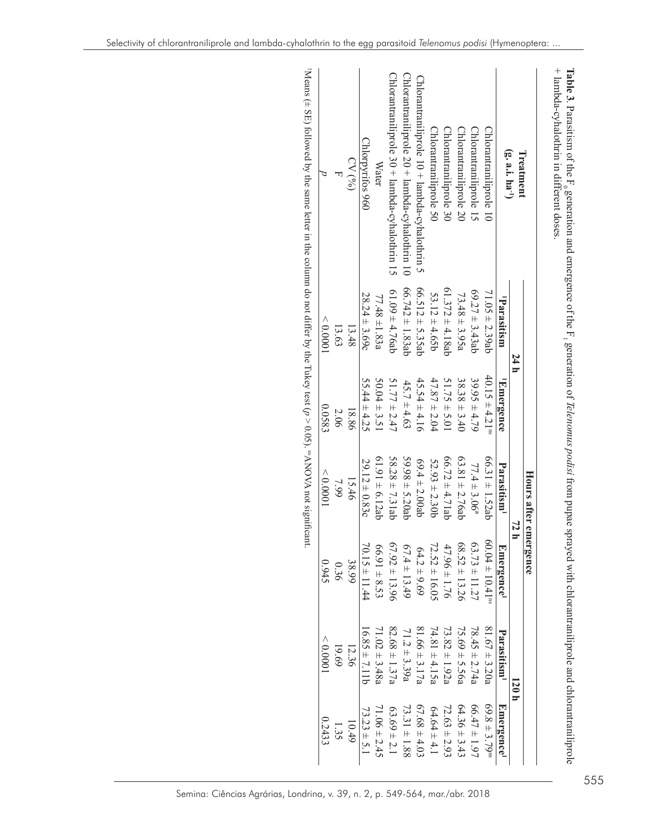|                                                 |                      |                                | Hours after emergence        |                                 |                         |                               |
|-------------------------------------------------|----------------------|--------------------------------|------------------------------|---------------------------------|-------------------------|-------------------------------|
| Treatment                                       | 14 h                 |                                |                              | 72 h                            | 120 h                   |                               |
| $(g, a.i.$ ha <sup>-1</sup> )                   | Parasitism           | <sup>1</sup> Emergence         | Parasitism <sup>1</sup>      | ${\bf E}$ mergence $^{\rm I}$   | Parasitism <sup>1</sup> | Emergence <sup>1</sup>        |
| Chlorantraniliprole 10                          | $71.05 \pm 2.39ab$   | $40.15 \pm 4.21$ <sup>ns</sup> | $66.31 \pm 1.52$ ab          | $60.04 \pm 10.41$ <sup>ns</sup> | $81.67 \pm 3.20a$       | $69.8 \pm 3.79$ <sup>ns</sup> |
| Chlorantraniliprole 15                          | $69.27 \pm 3.43$ ab  | $39.95 \pm 4.79$               | $77.4 \pm 3.06$ <sup>a</sup> | $63.73 \pm 11.27$               | $78.45 \pm 2.74a$       | $66.47 \pm 1.97$              |
| Chlorantraniliprole 20                          | $73.48 \pm 3.95a$    | $38.38 \pm 3.40$               | 63.81 $\pm$ 2.76ab           | $58.52 \pm 13.26$               | $75.69 \pm 5.56a$       | $64.36 \pm 3.43$              |
| Chlorantraniliprole 30                          | $61.372 \pm 4.18ab$  | $51.75 \pm 5.01$               | $66.72 \pm 4.71$ ab          | $47.96 \pm 1.76$                | $73.82 \pm 1.92a$       | $72.63 \pm 2.93$              |
| Chlorantraniliprole 50                          | $53.12 \pm 4.65b$    | $47.87 \pm 2.04$               | $52.93 \pm 2.30b$            | $72.52 \pm 16.05$               | $74.81 \pm 4.15a$       | $64.64 \pm 4.1$               |
| $Chlorantraniliptole 10 + lambda-cylalofirin 5$ | 66.512 $\pm$ 5.35 ab | $45.54 \pm 4.16$               | 69.4 $\pm$ 2.00ab            | $64.2 \pm 9.69$                 | $81.66 \pm 3.17a$       | $67.68 \pm 4.03$              |
| Chlorantraniliprole 20 + lambda-cyhalothrin 10  | $66.742 \pm 1.83$ ab | $45.7 \pm 4.63$                | $59.98 \pm 5.20$ ab          | $67.4 \pm 13.49$                | $71.2 \pm 3.39a$        | $73.31 \pm 1.88$              |
| Chlorantraniliprole 30 + lambda-cyhalothrin 15  | $61.09 \pm 4.76ab$   | $51.77 \pm 2.47$               | $58.28 \pm 7.31$ ab          | $57.92 \pm 13.96$               | $82.68 \pm 1.37$ a      | $63.69 \pm 2.1$               |
| Water                                           | $77.48 \pm 1.83a$    | $50.04 \pm 3.51$               | $61.91 \pm 6.12$ ab          | $66.91 \pm 8.53$                | $71.02 \pm 3.48a$       | $71.06 \pm 2.45$              |
| Chlorpyrifos 960                                | $28.24 \pm 3.69c$    | $55.44 \pm 4.25$               | $29.12 \pm 0.83c$            | $70.15 \pm 11.44$               | $16.85 \pm 7.11b$       | $73.23 \pm 5.1$               |
| CV(6)                                           | 13.48                | 18.86                          | 15.46                        | 38.99                           | 12.36                   | 10.49                         |
|                                                 | 13.63                | 2.06                           | 7.99                         | 0.36                            | 19.69                   | 1.35                          |
|                                                 | < 0.0001             | 0.0583                         | 00000                        | 0.945                           | < 0.0001                | 0.2433                        |

Selectivity of chlorantraniliprole and lambda-cyhalothrin to the egg parasitoid *Telenomus podisi* (Hymenoptera: ...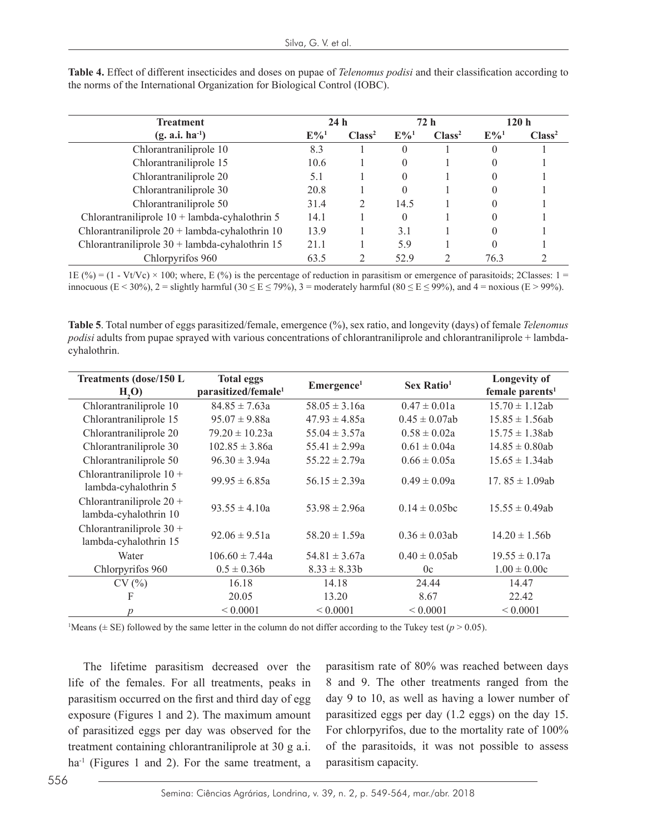| <b>Treatment</b>                                 |                    | 24h                |                    | 72 h               |                    | 120h               |
|--------------------------------------------------|--------------------|--------------------|--------------------|--------------------|--------------------|--------------------|
| $(g. a.i. ha^{-1})$                              | $E\%$ <sup>1</sup> | Class <sup>2</sup> | $E\%$ <sup>1</sup> | Class <sup>2</sup> | $E\%$ <sup>1</sup> | Class <sup>2</sup> |
| Chlorantraniliprole 10                           | 8.3                |                    | $\Omega$           |                    |                    |                    |
| Chlorantraniliprole 15                           | 10.6               |                    | $\Omega$           |                    |                    |                    |
| Chlorantraniliprole 20                           | 5.1                |                    | $\theta$           |                    |                    |                    |
| Chlorantraniliprole 30                           | 20.8               |                    | $\Omega$           |                    |                    |                    |
| Chlorantraniliprole 50                           | 31.4               |                    | 14.5               |                    |                    |                    |
| Chlorantraniliprole $10 +$ lambda-cyhalothrin 5  | 14.1               |                    | $\theta$           |                    |                    |                    |
| Chlorantraniliprole $20 +$ lambda-cyhalothrin 10 | 13.9               |                    | 3.1                |                    |                    |                    |
| Chlorantraniliprole $30 +$ lambda-cyhalothrin 15 | 21.1               |                    | 5.9                |                    |                    |                    |
| Chlorpyrifos 960                                 |                    |                    | 52.9               |                    | 76.3               |                    |

**Table 4.** Effect of different insecticides and doses on pupae of *Telenomus podisi* and their classification according to the norms of the International Organization for Biological Control (IOBC).

1E (%) = (1 - Vt/Vc) × 100; where, E (%) is the percentage of reduction in parasitism or emergence of parasitoids; 2Classes: 1 = innocuous (E < 30%), 2 = slightly harmful (30  $\leq$  E  $\leq$  79%), 3 = moderately harmful (80  $\leq$  E  $\leq$  99%), and 4 = noxious (E > 99%).

**Table 5**. Total number of eggs parasitized/female, emergence (%), sex ratio, and longevity (days) of female *Telenomus podisi* adults from pupae sprayed with various concentrations of chlorantraniliprole and chlorantraniliprole + lambdacyhalothrin.

| <b>Treatments (dose/150 L</b><br>H <sub>2</sub> O   | <b>Total eggs</b><br>parasitized/female <sup>1</sup> | Emergence <sup>1</sup> | Sex Ratio <sup>1</sup> | Longevity of<br>female parents <sup>1</sup> |
|-----------------------------------------------------|------------------------------------------------------|------------------------|------------------------|---------------------------------------------|
| Chlorantraniliprole 10                              | $84.85 \pm 7.63a$                                    | $58.05 \pm 3.16a$      | $0.47 \pm 0.01a$       | $15.70 \pm 1.12$ ab                         |
| Chlorantraniliprole 15                              | $95.07 \pm 9.88a$                                    | $47.93 \pm 4.85a$      | $0.45 \pm 0.07$ ab     | $15.85 \pm 1.56ab$                          |
| Chlorantraniliprole 20                              | $79.20 \pm 10.23a$                                   | $55.04 \pm 3.57a$      | $0.58 \pm 0.02a$       | $15.75 \pm 1.38$ ab                         |
| Chlorantraniliprole 30                              | $102.85 \pm 3.86a$                                   | $55.41 \pm 2.99a$      | $0.61 \pm 0.04a$       | $14.85 \pm 0.80$ ab                         |
| Chlorantraniliprole 50                              | $96.30 \pm 3.94a$                                    | $55.22 \pm 2.79a$      | $0.66 \pm 0.05a$       | $15.65 \pm 1.34ab$                          |
| Chlorantraniliprole $10 +$<br>lambda-cyhalothrin 5  | $99.95 \pm 6.85a$                                    | $56.15 \pm 2.39a$      | $0.49 \pm 0.09a$       | 17.85 $\pm$ 1.09ab                          |
| Chlorantraniliprole $20 +$<br>lambda-cyhalothrin 10 | $93.55 \pm 4.10a$                                    | $53.98 \pm 2.96a$      | $0.14 \pm 0.05$ bc     | $15.55 \pm 0.49ab$                          |
| Chlorantraniliprole $30 +$<br>lambda-cyhalothrin 15 | $92.06 \pm 9.51a$                                    | $58.20 \pm 1.59a$      | $0.36 \pm 0.03$ ab     | $14.20 \pm 1.56b$                           |
| Water                                               | $106.60 \pm 7.44a$                                   | $54.81 \pm 3.67a$      | $0.40 \pm 0.05$ ab     | $19.55 \pm 0.17a$                           |
| Chlorpyrifos 960                                    | $0.5 \pm 0.36b$                                      | $8.33 \pm 8.33b$       | 0c                     | $1.00 \pm 0.00c$                            |
| CV(%)                                               | 16.18                                                | 14.18                  | 24.44                  | 14.47                                       |
| F                                                   | 20.05                                                | 13.20                  | 8.67                   | 22.42                                       |
| $\boldsymbol{p}$                                    | ${}_{0.0001}$                                        | ${}_{0.0001}$          | ${}< 0.0001$           | ${}_{0.0001}$                               |

Means ( $\pm$  SE) followed by the same letter in the column do not differ according to the Tukey test ( $p$  > 0.05).

The lifetime parasitism decreased over the life of the females. For all treatments, peaks in parasitism occurred on the first and third day of egg exposure (Figures 1 and 2). The maximum amount of parasitized eggs per day was observed for the treatment containing chlorantraniliprole at 30 g a.i. ha<sup>-1</sup> (Figures 1 and 2). For the same treatment, a parasitism rate of 80% was reached between days 8 and 9. The other treatments ranged from the day 9 to 10, as well as having a lower number of parasitized eggs per day (1.2 eggs) on the day 15. For chlorpyrifos, due to the mortality rate of 100% of the parasitoids, it was not possible to assess parasitism capacity.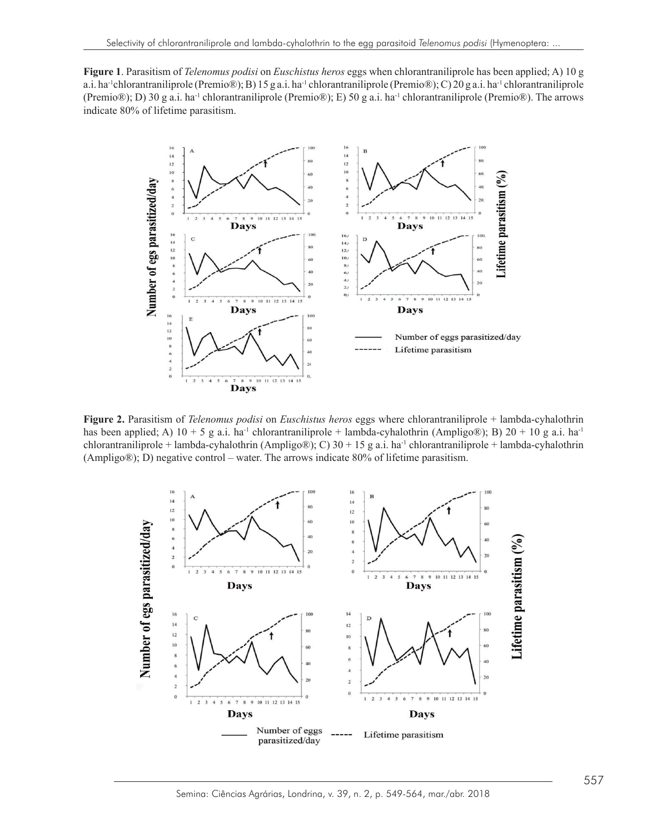**Figure 1**. Parasitism of *Telenomus podisi* on *Euschistus heros* eggs when chlorantraniliprole has been applied; A) 10 g a.i. ha<sup>-1</sup>chlorantraniliprole (Premio®); B) 15 g a.i. ha<sup>-1</sup> chlorantraniliprole (Premio®); C) 20 g a.i. ha<sup>-1</sup> chlorantraniliprole (Premio®); D) 30 g a.i. ha<sup>-1</sup> chlorantraniliprole (Premio®); E) 50 g a.i. ha<sup>-1</sup> chlorantraniliprole (Premio®). The arrows indicate 80% of lifetime parasitism.



**Figure 2.** Parasitism of *Telenomus podisi* on *Euschistus heros* eggs where chlorantraniliprole + lambda-cyhalothrin has been applied; A)  $10 + 5$  g a.i. ha<sup>-1</sup> chlorantraniliprole + lambda-cyhalothrin (Ampligo®); B)  $20 + 10$  g a.i. ha<sup>-1</sup> chlorantraniliprole + lambda-cyhalothrin (Ampligo®); C)  $30 + 15$  g a.i. ha<sup>-1</sup> chlorantraniliprole + lambda-cyhalothrin (Ampligo®); D) negative control – water. The arrows indicate 80% of lifetime parasitism.



Semina: Ciências Agrárias, Londrina, v. 39, n. 2, p. 549-564, mar./abr. 2018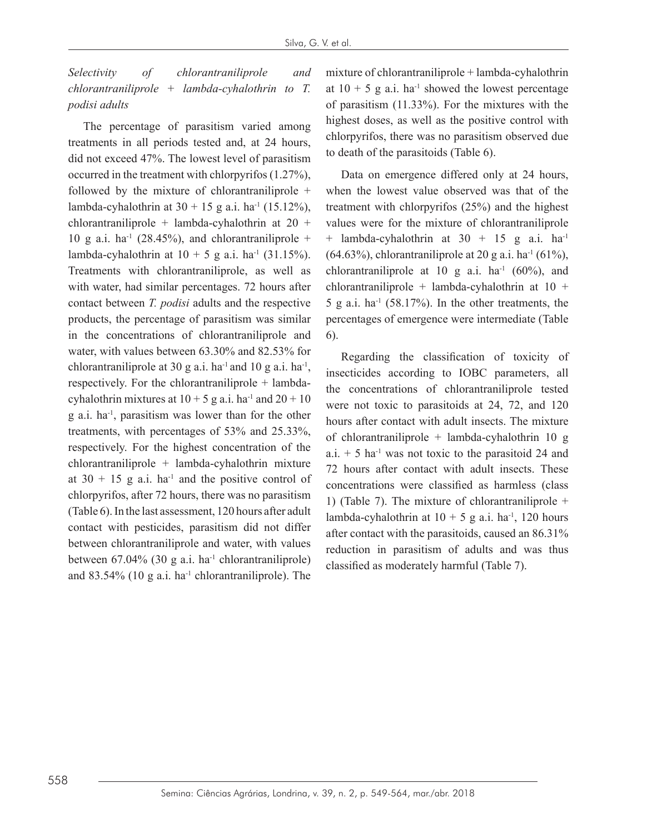*Selectivity of chlorantraniliprole and chlorantraniliprole + lambda-cyhalothrin to T. podisi adults*

The percentage of parasitism varied among treatments in all periods tested and, at 24 hours, did not exceed 47%. The lowest level of parasitism occurred in the treatment with chlorpyrifos (1.27%), followed by the mixture of chlorantraniliprole  $+$ lambda-cyhalothrin at  $30 + 15$  g a.i. ha<sup>-1</sup> (15.12%), chlorantraniliprole + lambda-cyhalothrin at 20 + 10 g a.i. ha<sup>-1</sup> (28.45%), and chlorantraniliprole + lambda-cyhalothrin at  $10 + 5$  g a.i. ha<sup>-1</sup> (31.15%). Treatments with chlorantraniliprole, as well as with water, had similar percentages. 72 hours after contact between *T. podisi* adults and the respective products, the percentage of parasitism was similar in the concentrations of chlorantraniliprole and water, with values between 63.30% and 82.53% for chlorantraniliprole at 30 g a.i. ha<sup>-1</sup> and 10 g a.i. ha<sup>-1</sup>, respectively. For the chlorantraniliprole + lambdacyhalothrin mixtures at  $10 + 5$  g a.i. ha<sup>-1</sup> and  $20 + 10$ g a.i. ha-1, parasitism was lower than for the other treatments, with percentages of 53% and 25.33%, respectively. For the highest concentration of the chlorantraniliprole + lambda-cyhalothrin mixture at  $30 + 15$  g a.i. ha<sup>-1</sup> and the positive control of chlorpyrifos, after 72 hours, there was no parasitism (Table 6). In the last assessment, 120 hours after adult contact with pesticides, parasitism did not differ between chlorantraniliprole and water, with values between  $67.04\%$  (30 g a.i. ha<sup>-1</sup> chlorantraniliprole) and  $83.54\%$  (10 g a.i. ha<sup>-1</sup> chlorantraniliprole). The mixture of chlorantraniliprole + lambda-cyhalothrin at  $10 + 5$  g a.i. ha<sup>-1</sup> showed the lowest percentage of parasitism (11.33%). For the mixtures with the highest doses, as well as the positive control with chlorpyrifos, there was no parasitism observed due to death of the parasitoids (Table 6).

Data on emergence differed only at 24 hours, when the lowest value observed was that of the treatment with chlorpyrifos (25%) and the highest values were for the mixture of chlorantraniliprole  $+$  lambda-cyhalothrin at 30 + 15 g a.i. ha<sup>-1</sup>  $(64.63\%)$ , chlorantraniliprole at 20 g a.i. ha<sup>-1</sup>  $(61\%)$ , chlorantraniliprole at 10 g a.i.  $ha^{-1}$  (60%), and chlorantraniliprole + lambda-cyhalothrin at 10 +  $5$  g a.i. ha<sup>-1</sup> (58.17%). In the other treatments, the percentages of emergence were intermediate (Table 6).

Regarding the classification of toxicity of insecticides according to IOBC parameters, all the concentrations of chlorantraniliprole tested were not toxic to parasitoids at 24, 72, and 120 hours after contact with adult insects. The mixture of chlorantraniliprole + lambda-cyhalothrin 10 g  $a.i. + 5$  ha<sup>-1</sup> was not toxic to the parasitoid 24 and 72 hours after contact with adult insects. These concentrations were classified as harmless (class 1) (Table 7). The mixture of chlorantraniliprole + lambda-cyhalothrin at  $10 + 5$  g a.i. ha<sup>-1</sup>, 120 hours after contact with the parasitoids, caused an 86.31% reduction in parasitism of adults and was thus classified as moderately harmful (Table 7).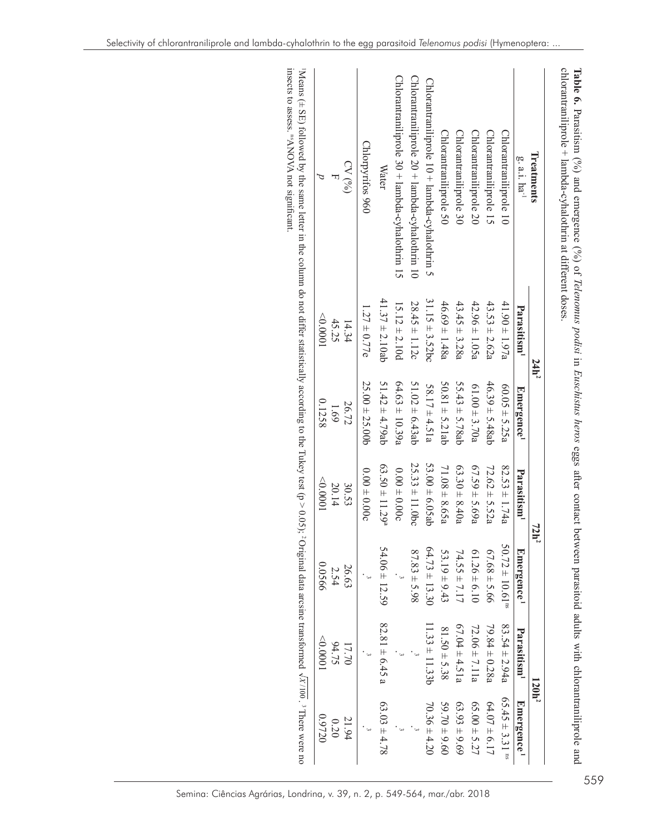| Ireatments                                     | 24h <sup>2</sup>        |                        | 72h <sup>2</sup>               |                                 | $120h^2$                |                                |
|------------------------------------------------|-------------------------|------------------------|--------------------------------|---------------------------------|-------------------------|--------------------------------|
| g. a.i. $\mathbf{h}\mathbf{a}^{-1}$            | Parasitism <sup>1</sup> | Emergence <sup>1</sup> | Parasitism <sup>1</sup>        | Emergence <sup>1</sup>          | Parasitism <sup>1</sup> | Emergence <sup>1</sup>         |
| Chlorantraniliprole 10                         | $41.90 \pm 1.97a$       | $60.05 \pm 5.25a$      | $82.53 \pm 1.74a$              | $50.72 \pm 10.61$ <sup>ns</sup> | $83.54 \pm 2.94a$       | $65.45 \pm 3.31$ <sup>ns</sup> |
| Chlorantraniliprole 15                         | $43.53 \pm 2.62a$       | $46.39 \pm 5.48ab$     | $72.62 \pm 5.52a$              | $67.68 \pm 5.66$                | $79.84 \pm 0.28a$       | $64.07 \pm 6.17$               |
| Chlorantraniliprole 20                         | $42.96 \pm 1.05a$       | $61.00 \pm 3.70a$      | $67.59 \pm 5.69a$              | $61.26 \pm 6.10$                | $72.06 \pm 7.11a$       | $65.00 \pm 5.27$               |
| Chlorantraniliprole 30                         | $43.45 \pm 3.28a$       | $55.43 \pm 5.78ab$     | $63.30 \pm 8.40a$              | $74.55 \pm 7.17$                | $67.04 \pm 4.51a$       | $63.93 \pm 9.69$               |
| Chlorantraniliprole 50                         | $46.69 \pm 1.48a$       | $50.81 \pm 5.21$ ab    | $71.08 \pm 8.65a$              | $53.19 \pm 9.43$                | $81.50 \pm 5.38$        | $59.70 \pm 9.60$               |
| Chlorantraniliprole 10 + lambda-cyhalothrin 5  | $31.15 \pm 3.52$ bc     | $58.17 \pm 4.51a$      | 53.00 $\pm$ 6.05ab             | $64.73 \pm 13.30$               | $11.33 \pm 11.33b$      | $70.36 \pm 4.20$               |
| Chlorantraniliprole 20 + lambda-cyhalothrin 10 | $28.45 \pm 1.12c$       | $51.02 \pm 6.43$ ab    | $25.33 \pm 11.0$ bc            | $87.83 \pm 5.98$                |                         |                                |
| Chlorantraniliprole 30 + lambda-cyhalothrin 15 | $15.12 \pm 2.10d$       | $64.63 \pm 10.39a$     | $0.00 \pm 0.00c$               |                                 |                         |                                |
| <b>Water</b>                                   | $41.37 \pm 2.10ab$      | $51.42 \pm 4.79$ ab    | $63.50 \pm 11.29$ <sup>a</sup> | $54.06 \pm 12.59$               | $82.81 \pm 6.45$ a      | $63.03 \pm 4.78$               |
| Chlorpyrifos 960                               | $1.27 \pm 0.77e$        | $25.00 \pm 25.00$      | $0.00 \pm 0.00c$               |                                 |                         |                                |
| CV(0)                                          | 14.34                   | 26.72                  | 30.53                          | 26.63                           | 17.70                   | 21.94                          |
|                                                | 45.25                   | 69.1                   | 20.14                          | 2.54                            | 94.75                   | 0.20                           |
|                                                | (0000)                  | 0.1258                 | (0000)                         | 0.0566                          | $-0.0001$               | 02260                          |

insects to assess. <sup>ns</sup>ANOVA not significant. insects to assess. nsANOVA not significant.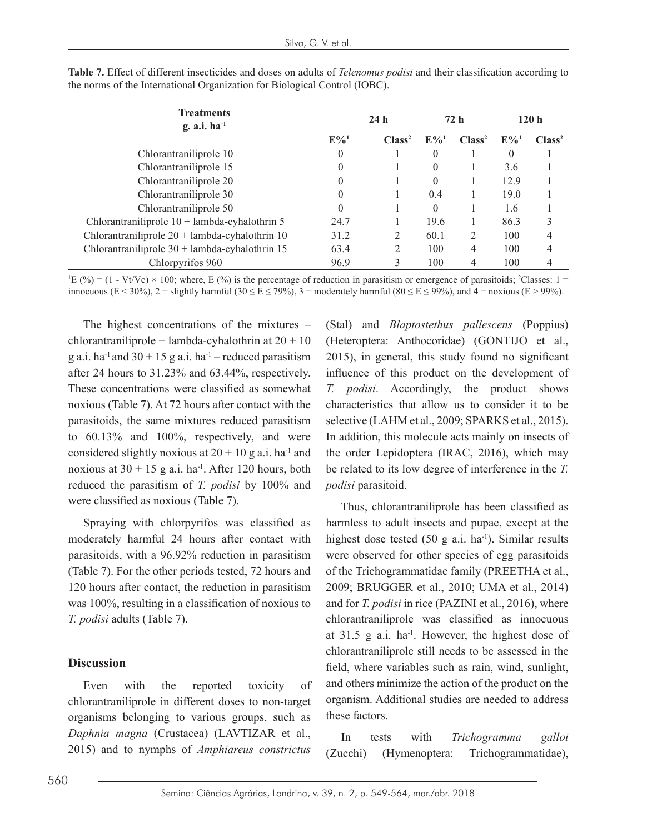| <b>Treatments</b><br>g. a.i. $ha^{-1}$           | 24 <sub>h</sub>    |                    | 72 h               |                    | 120 <sub>h</sub>   |                    |
|--------------------------------------------------|--------------------|--------------------|--------------------|--------------------|--------------------|--------------------|
|                                                  | $E\%$ <sup>1</sup> | Class <sup>2</sup> | $E\%$ <sup>1</sup> | Class <sup>2</sup> | $E\%$ <sup>1</sup> | Class <sup>2</sup> |
| Chlorantraniliprole 10                           | $\overline{0}$     |                    | $\theta$           |                    | $\theta$           |                    |
| Chlorantraniliprole 15                           | $\overline{0}$     |                    | $\theta$           |                    | 3.6                |                    |
| Chlorantraniliprole 20                           | $\theta$           |                    | $\Omega$           |                    | 12.9               |                    |
| Chlorantraniliprole 30                           | $\theta$           |                    | 0.4                |                    | 19.0               |                    |
| Chlorantraniliprole 50                           | $\theta$           |                    | $\Omega$           |                    | 1.6                |                    |
| Chlorantraniliprole $10 +$ lambda-cyhalothrin 5  | 24.7               |                    | 19.6               |                    | 86.3               | 3                  |
| Chlorantraniliprole $20 +$ lambda-cyhalothrin 10 | 31.2               | 2                  | 60.1               | 2                  | 100                | 4                  |
| Chlorantraniliprole $30 +$ lambda-cyhalothrin 15 | 63.4               | 2                  | 100                | 4                  | 100                | 4                  |
| Chlorpyrifos 960                                 | 96.9               |                    | 100                | 4                  | 100                | 4                  |

**Table 7.** Effect of different insecticides and doses on adults of *Telenomus podisi* and their classification according to the norms of the International Organization for Biological Control (IOBC).

 ${}^1E$  (%) = (1 - Vt/Vc) × 100; where, E (%) is the percentage of reduction in parasitism or emergence of parasitoids; <sup>2</sup>Classes: 1 = innocuous (E < 30%), 2 = slightly harmful (30  $\leq$  E  $\leq$  79%), 3 = moderately harmful (80  $\leq$  E  $\leq$  99%), and 4 = noxious (E > 99%).

The highest concentrations of the mixtures – chlorantraniliprole + lambda-cyhalothrin at  $20 + 10$ g a.i. ha<sup>-1</sup> and  $30 + 15$  g a.i. ha<sup>-1</sup> – reduced parasitism after 24 hours to 31.23% and 63.44%, respectively. These concentrations were classified as somewhat noxious (Table 7). At 72 hours after contact with the parasitoids, the same mixtures reduced parasitism to 60.13% and 100%, respectively, and were considered slightly noxious at  $20 + 10$  g a.i. ha<sup>-1</sup> and noxious at  $30 + 15$  g a.i. ha<sup>-1</sup>. After 120 hours, both reduced the parasitism of *T. podisi* by 100% and were classified as noxious (Table 7).

Spraying with chlorpyrifos was classified as moderately harmful 24 hours after contact with parasitoids, with a 96.92% reduction in parasitism (Table 7). For the other periods tested, 72 hours and 120 hours after contact, the reduction in parasitism was 100%, resulting in a classification of noxious to *T. podisi* adults (Table 7).

### **Discussion**

Even with the reported toxicity of chlorantraniliprole in different doses to non-target organisms belonging to various groups, such as *Daphnia magna* (Crustacea) (LAVTIZAR et al., 2015) and to nymphs of *Amphiareus constrictus*

(Stal) and *Blaptostethus pallescens* (Poppius) (Heteroptera: Anthocoridae) (GONTIJO et al., 2015), in general, this study found no significant influence of this product on the development of *T. podisi*. Accordingly, the product shows characteristics that allow us to consider it to be selective (LAHM et al., 2009; SPARKS et al., 2015). In addition, this molecule acts mainly on insects of the order Lepidoptera (IRAC, 2016), which may be related to its low degree of interference in the *T. podisi* parasitoid.

Thus, chlorantraniliprole has been classified as harmless to adult insects and pupae, except at the highest dose tested  $(50 \text{ g a.i.} \text{ ha}^{-1})$ . Similar results were observed for other species of egg parasitoids of the Trichogrammatidae family (PREETHA et al., 2009; BRUGGER et al., 2010; UMA et al., 2014) and for *T. podisi* in rice (PAZINI et al., 2016), where chlorantraniliprole was classified as innocuous at  $31.5$  g a.i. ha<sup>-1</sup>. However, the highest dose of chlorantraniliprole still needs to be assessed in the field, where variables such as rain, wind, sunlight, and others minimize the action of the product on the organism. Additional studies are needed to address these factors.

In tests with *Trichogramma galloi* (Zucchi) (Hymenoptera: Trichogrammatidae),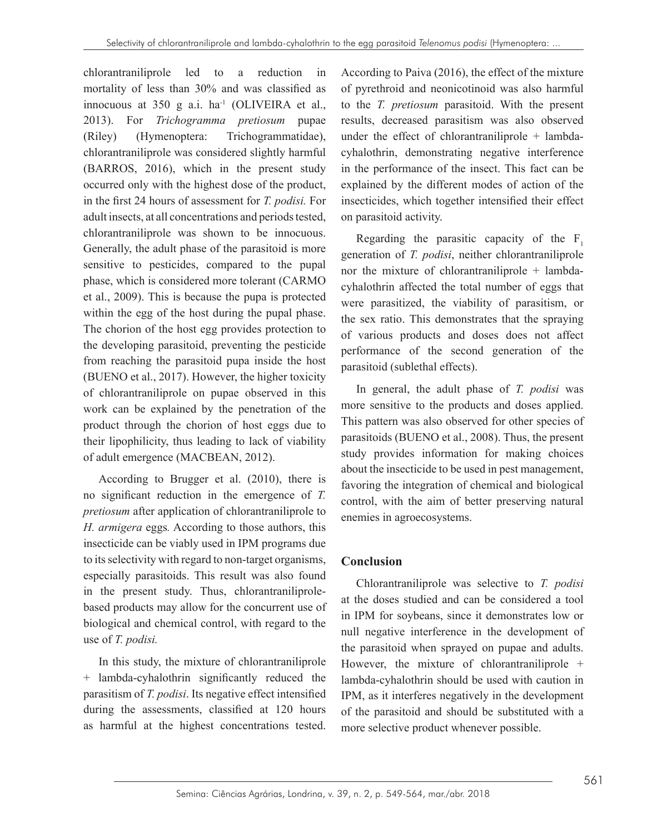chlorantraniliprole led to a reduction in mortality of less than 30% and was classified as innocuous at 350 g a.i.  $ha^{-1}$  (OLIVEIRA et al., 2013). For *Trichogramma pretiosum* pupae (Riley) (Hymenoptera: Trichogrammatidae), chlorantraniliprole was considered slightly harmful (BARROS, 2016), which in the present study occurred only with the highest dose of the product, in the first 24 hours of assessment for *T. podisi.* For adult insects, at all concentrations and periods tested, chlorantraniliprole was shown to be innocuous. Generally, the adult phase of the parasitoid is more sensitive to pesticides, compared to the pupal phase, which is considered more tolerant (CARMO et al., 2009). This is because the pupa is protected within the egg of the host during the pupal phase. The chorion of the host egg provides protection to the developing parasitoid, preventing the pesticide from reaching the parasitoid pupa inside the host (BUENO et al., 2017). However, the higher toxicity of chlorantraniliprole on pupae observed in this work can be explained by the penetration of the product through the chorion of host eggs due to their lipophilicity, thus leading to lack of viability of adult emergence (MACBEAN, 2012).

According to Brugger et al. (2010), there is no significant reduction in the emergence of *T. pretiosum* after application of chlorantraniliprole to *H. armigera* eggs*.* According to those authors, this insecticide can be viably used in IPM programs due to its selectivity with regard to non-target organisms, especially parasitoids. This result was also found in the present study. Thus, chlorantraniliprolebased products may allow for the concurrent use of biological and chemical control, with regard to the use of *T. podisi.*

In this study, the mixture of chlorantraniliprole + lambda-cyhalothrin significantly reduced the parasitism of *T. podisi*. Its negative effect intensified during the assessments, classified at 120 hours as harmful at the highest concentrations tested.

According to Paiva (2016), the effect of the mixture of pyrethroid and neonicotinoid was also harmful to the *T. pretiosum* parasitoid. With the present results, decreased parasitism was also observed under the effect of chlorantraniliprole  $+$  lambdacyhalothrin, demonstrating negative interference in the performance of the insect. This fact can be explained by the different modes of action of the insecticides, which together intensified their effect on parasitoid activity.

Regarding the parasitic capacity of the  $F_1$ generation of *T. podisi*, neither chlorantraniliprole nor the mixture of chlorantraniliprole + lambdacyhalothrin affected the total number of eggs that were parasitized, the viability of parasitism, or the sex ratio. This demonstrates that the spraying of various products and doses does not affect performance of the second generation of the parasitoid (sublethal effects).

In general, the adult phase of *T. podisi* was more sensitive to the products and doses applied. This pattern was also observed for other species of parasitoids (BUENO et al., 2008). Thus, the present study provides information for making choices about the insecticide to be used in pest management, favoring the integration of chemical and biological control, with the aim of better preserving natural enemies in agroecosystems.

# **Conclusion**

Chlorantraniliprole was selective to *T. podisi* at the doses studied and can be considered a tool in IPM for soybeans, since it demonstrates low or null negative interference in the development of the parasitoid when sprayed on pupae and adults. However, the mixture of chlorantraniliprole + lambda-cyhalothrin should be used with caution in IPM, as it interferes negatively in the development of the parasitoid and should be substituted with a more selective product whenever possible.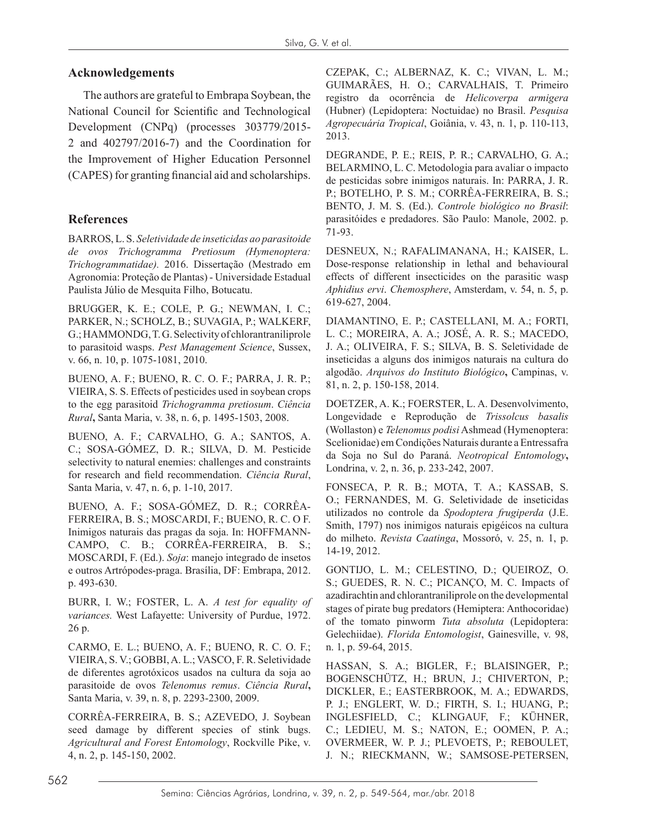## **Acknowledgements**

The authors are grateful to Embrapa Soybean, the National Council for Scientific and Technological Development (CNPq) (processes 303779/2015- 2 and 402797/2016-7) and the Coordination for the Improvement of Higher Education Personnel (CAPES) for granting financial aid and scholarships.

## **References**

BARROS, L. S. *Seletividade de inseticidas ao parasitoide de ovos Trichogramma Pretiosum (Hymenoptera: Trichogrammatidae).* 2016. Dissertação (Mestrado em Agronomia: Proteção de Plantas) - Universidade Estadual Paulista Júlio de Mesquita Filho, Botucatu.

BRUGGER, K. E.; COLE, P. G.; NEWMAN, I. C.; PARKER, N.; SCHOLZ, B.; SUVAGIA, P.; WALKERF, G.; HAMMONDG, T. G. Selectivity of chlorantraniliprole to parasitoid wasps. *Pest Management Science*, Sussex, v. 66, n. 10, p. 1075-1081, 2010.

BUENO, A. F.; BUENO, R. C. O. F.; PARRA, J. R. P.; VIEIRA, S. S. Effects of pesticides used in soybean crops to the egg parasitoid *Trichogramma pretiosum*. *Ciência Rural***,** Santa Maria, v. 38, n. 6, p. 1495-1503, 2008.

BUENO, A. F.; CARVALHO, G. A.; SANTOS, A. C.; SOSA-GÓMEZ, D. R.; SILVA, D. M. Pesticide selectivity to natural enemies: challenges and constraints for research and field recommendation. *Ciência Rural*, Santa Maria, v. 47, n. 6, p. 1-10, 2017.

BUENO, A. F.; SOSA-GÓMEZ, D. R.; CORRÊA-FERREIRA, B. S.; MOSCARDI, F.; BUENO, R. C. O F. Inimigos naturais das pragas da soja. In: HOFFMANN-CAMPO, C. B.; CORRÊA-FERREIRA, B. S.; MOSCARDI, F. (Ed.). *Soja*: manejo integrado de insetos e outros Artrópodes-praga. Brasília, DF: Embrapa, 2012. p. 493-630.

BURR, I. W.; FOSTER, L. A. *A test for equality of variances.* West Lafayette: University of Purdue, 1972. 26 p.

CARMO, E. L.; BUENO, A. F.; BUENO, R. C. O. F.; VIEIRA, S. V.; GOBBI, A. L.; VASCO, F. R. Seletividade de diferentes agrotóxicos usados na cultura da soja ao parasitoide de ovos *Telenomus remus*. *Ciência Rural***,**  Santa Maria, v. 39, n. 8, p. 2293-2300, 2009.

CORRÊA-FERREIRA, B. S.; AZEVEDO, J. Soybean seed damage by different species of stink bugs. *Agricultural and Forest Entomology*, Rockville Pike, v. 4, n. 2, p. 145-150, 2002.

CZEPAK, C.; ALBERNAZ, K. C.; VIVAN, L. M.; GUIMARÃES, H. O.; CARVALHAIS, T. Primeiro registro da ocorrência de *Helicoverpa armigera* (Hubner) (Lepidoptera: Noctuidae) no Brasil. *Pesquisa Agropecuária Tropical*, Goiânia, v. 43, n. 1, p. 110-113, 2013.

DEGRANDE, P. E.; REIS, P. R.; CARVALHO, G. A.; BELARMINO, L. C. Metodologia para avaliar o impacto de pesticidas sobre inimigos naturais. In: PARRA, J. R. P.; BOTELHO, P. S. M.; CORRÊA-FERREIRA, B. S.; BENTO, J. M. S. (Ed.). *Controle biológico no Brasil*: parasitóides e predadores. São Paulo: Manole, 2002. p. 71-93.

DESNEUX, N.; RAFALIMANANA, H.; KAISER, L. Dose-response relationship in lethal and behavioural effects of different insecticides on the parasitic wasp *Aphidius ervi*. *Chemosphere*, Amsterdam, v. 54, n. 5, p. 619-627, 2004.

DIAMANTINO, E. P.; CASTELLANI, M. A.; FORTI, L. C.; MOREIRA, A. A.; JOSÉ, A. R. S.; MACEDO, J. A.; OLIVEIRA, F. S.; SILVA, B. S. Seletividade de inseticidas a alguns dos inimigos naturais na cultura do algodão. *Arquivos do Instituto Biológico***,** Campinas, v. 81, n. 2, p. 150-158, 2014.

DOETZER, A. K.; FOERSTER, L. A. Desenvolvimento, Longevidade e Reprodução de *Trissolcus basalis* (Wollaston) e *Telenomus podisi* Ashmead (Hymenoptera: Scelionidae) em Condições Naturais durante a Entressafra da Soja no Sul do Paraná. *Neotropical Entomology***,**  Londrina, v. 2, n. 36, p. 233-242, 2007.

FONSECA, P. R. B.; MOTA, T. A.; KASSAB, S. O.; FERNANDES, M. G. Seletividade de inseticidas utilizados no controle da *Spodoptera frugiperda* (J.E. Smith, 1797) nos inimigos naturais epigéicos na cultura do milheto. *Revista Caatinga*, Mossoró, v. 25, n. 1, p. 14-19, 2012.

GONTIJO, L. M.; CELESTINO, D.; QUEIROZ, O. S.; GUEDES, R. N. C.; PICANÇO, M. C. Impacts of azadirachtin and chlorantraniliprole on the developmental stages of pirate bug predators (Hemiptera: Anthocoridae) of the tomato pinworm *Tuta absoluta* (Lepidoptera: Gelechiidae). *Florida Entomologist*, Gainesville, v. 98, n. 1, p. 59-64, 2015.

HASSAN, S. A.; BIGLER, F.; BLAISINGER, P.; BOGENSCHÜTZ, H.; BRUN, J.; CHIVERTON, P.; DICKLER, E.; EASTERBROOK, M. A.; EDWARDS, P. J.; ENGLERT, W. D.; FIRTH, S. I.; HUANG, P.; INGLESFIELD, C.; KLINGAUF, F.; KÜHNER, C.; LEDIEU, M. S.; NATON, E.; OOMEN, P. A.; OVERMEER, W. P. J.; PLEVOETS, P.; REBOULET, J. N.; RIECKMANN, W.; SAMSOSE-PETERSEN,